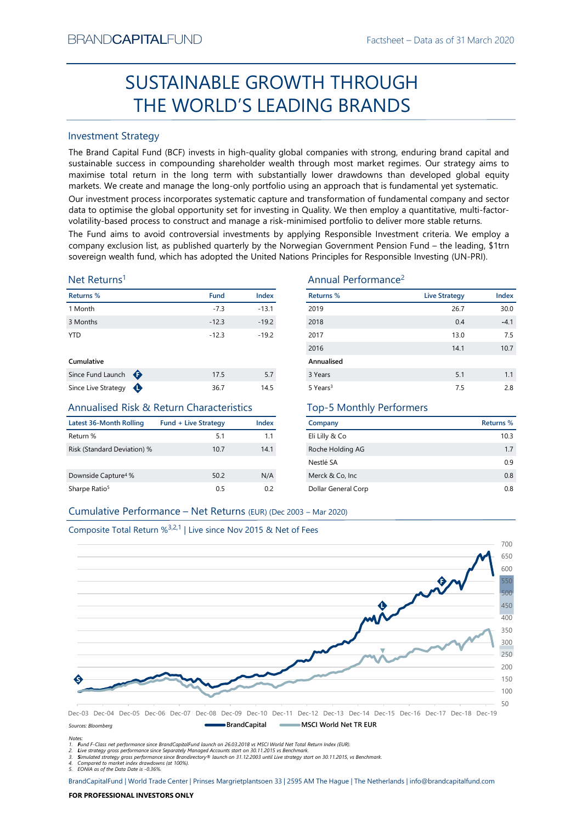# Factsheet – Data as of 31 March 2020<br> **CUGH** SUSTAINABLE GROWTH THROUGH THE WORLD'S LEADING BRANDS

# Investment Strategy

FRAND-CAPTIALI-UND<br>
Factisheet – Data as of 31 March 2020<br>
SUSTAINABLE GROWTH THROUGH<br>
THE WORLD'S LEADING BRANDS<br>
Investment Strategy<br>
The Brand Captible Turns in the long-resulting plobal companies with strong, enduring SUSTAINABLE GROWTH THROUGH<br>
THE WORLD'S LEADING BRANDS<br>
Investment Strategy<br>
Intersection (GCF) invests in high-quality global companies with strong, enduring brand capital and<br>
sustissimate success in compounding shareho BRAND**CAPITAL**FUND<br>
Factsheet – Data as of 31 March 2020<br> **SUSTAINABLE GROWTH THROUGH**<br> **THE WORLD'S LEADING BRANDS**<br>
Investment Strategy<br>
The Brand Capital Fund (BCF) invests in high-quality global companies with strong, BRAND**CAPITAL**FUND<br>
Factsheet – Data as of 31 March 2020<br> **SUSTAINABLE GROWTH THROUGH**<br> **THE WORLD'S LEADING BRANDS**<br>
Investment Strategy<br>
The Brand Capital Fund (BCF) invests in high-quality global companies with strong, BRAND**CAPITAL**FUND<br>
SUSTAINABLE GROWTH THROUGH<br>
THE WORLD'S LEADING BRANDS<br>
Investment Strategy<br>
Inte Brand Capital Fund (BCF) invests in high-quality global companies with strong, enduring brand capital and<br>
sustainable s BRAND**CAPITAL**FUND<br>
Factsheet – Data as of 31 March 2020<br>
SUSTAINABLE GROWTH THROUGH<br>
THE WORLD'S LEADING BRANDS<br>
Investment Strategy<br>
Investment Strategy<br>
The Brand Capital Fund (BCF) invests in high-quality global compan BRAND**CAPITAL**FUND<br>
Factsheet – Data as of 31 March 2020<br>
SUSTAINABLE GROWTH THROUGH<br>
THE WORLD'S LEADING BRANDS<br>
Investment Strategy<br>
Investment Strategy<br>
Investment Strategy<br>
Investment Strategy<br>
starting (BCF) invests i BRAND**CAPITAL**FUND<br>
Factsheet – Data as of 31 March 2020<br>
SUSTAINABLE GROWTH THROUGH<br>
THE WORLD'S LEADING BRANDS<br>
Investment Strategy<br>
The Brand Capital Fund (BCF) invests in high-quality global companies with strong, endu BRANDCAPITALFUND<br>
SUSTAINABLE GROWTH THROUGH<br>
THE WORLD'S LEADING BRANDS<br>
Investment Strategy<br>
The Brand Capital Fund (BCF) invests in high-quality global companies with strong, enduring brand capital and<br>
sustainable succ EXANDCAPITALFUND<br>
SUSTAINABLE GROWTH THROUGH<br>
THE WORLD'S LEADING BRANDS<br>
Investment Strategy<br>
Investment Strategy<br>
Investment Strategy<br>
Investment Strategy<br>
Investment Strategy<br>
Alta recomposition is the compounding share **EXAMDCAPITALFUND**<br>
SUSTAINABLE GROWTH THROUGH<br>
THE WORLD'S LEADING BRANDS<br>
Investment Strategy<br>
The Brand Capital Fund (BCF) invests in high-quality global companies with strong, enduring brand capital and<br>
sustsismable BRANDCAPITALFUND<br>
SUSTAINABLE GROWTH THROUGH<br>
THE WORLD'S LEADING BRANDS<br>
Investment Strategy<br>
Investment Strategy<br>
Investment Strategy<br>
Investment Strategy<br>
Sustainable success in compounding shareholder wealth funoupl mo

# Net Returns1

| Returns %         |   | <b>Fund</b> | <b>Index</b> |
|-------------------|---|-------------|--------------|
| 1 Month           |   | $-7.3$      | $-13.1$      |
| 3 Months          |   | $-12.3$     | $-19.2$      |
| <b>YTD</b>        |   | $-12.3$     | $-19.2$      |
| Cumulative        |   |             |              |
| Since Fund Launch | ⊕ | 17.5        | 5.7          |
|                   |   |             |              |

# Annualised Risk & Return Characteristics

| Latest 36-Month Rolling         | <b>Fund + Live Strategy</b> | Index |
|---------------------------------|-----------------------------|-------|
| Return %                        | 5.1                         | 11    |
| Risk (Standard Deviation) %     | 10.7                        | 14.1  |
| Downside Capture <sup>4</sup> % | 50.2                        | N/A   |
| Sharpe Ratio <sup>5</sup>       | 0.5                         | 0.2   |

# Annual Performance2

| BRANU <b>UAPHAL</b> FUND                                                      |                             |         |                                                                                                                                                                                                                                                                                                                                                                                                                                                                                                                                                                  | Factsheet – Data as of 31 March 2020 |           |
|-------------------------------------------------------------------------------|-----------------------------|---------|------------------------------------------------------------------------------------------------------------------------------------------------------------------------------------------------------------------------------------------------------------------------------------------------------------------------------------------------------------------------------------------------------------------------------------------------------------------------------------------------------------------------------------------------------------------|--------------------------------------|-----------|
|                                                                               |                             |         | SUSTAINABLE GROWTH THROUGH                                                                                                                                                                                                                                                                                                                                                                                                                                                                                                                                       |                                      |           |
|                                                                               |                             |         | THE WORLD'S LEADING BRANDS                                                                                                                                                                                                                                                                                                                                                                                                                                                                                                                                       |                                      |           |
| <b>Investment Strategy</b>                                                    |                             |         |                                                                                                                                                                                                                                                                                                                                                                                                                                                                                                                                                                  |                                      |           |
|                                                                               |                             |         | The Brand Capital Fund (BCF) invests in high-quality global companies with strong, enduring brand capital and<br>sustainable success in compounding shareholder wealth through most market regimes. Our strategy aims to<br>maximise total return in the long term with substantially lower drawdowns than developed global equity<br>markets. We create and manage the long-only portfolio using an approach that is fundamental yet systematic.<br>Our investment process incorporates systematic capture and transformation of fundamental company and sector |                                      |           |
|                                                                               |                             |         | data to optimise the global opportunity set for investing in Quality. We then employ a quantitative, multi-factor-<br>volatility-based process to construct and manage a risk-minimised portfolio to deliver more stable returns.                                                                                                                                                                                                                                                                                                                                |                                      |           |
|                                                                               |                             |         | The Fund aims to avoid controversial investments by applying Responsible Investment criteria. We employ a<br>company exclusion list, as published quarterly by the Norwegian Government Pension Fund - the leading, \$1trn<br>sovereign wealth fund, which has adopted the United Nations Principles for Responsible Investing (UN-PRI).                                                                                                                                                                                                                         |                                      |           |
| Net Returns <sup>1</sup>                                                      |                             |         | Annual Performance <sup>2</sup>                                                                                                                                                                                                                                                                                                                                                                                                                                                                                                                                  |                                      |           |
| Returns %                                                                     | <b>Fund</b>                 | Index   | <b>Returns %</b>                                                                                                                                                                                                                                                                                                                                                                                                                                                                                                                                                 | <b>Live Strategy</b>                 | Index     |
| 1 Month                                                                       | $-7.3$                      | $-13.1$ | 2019                                                                                                                                                                                                                                                                                                                                                                                                                                                                                                                                                             | 26.7                                 | 30.0      |
| 3 Months                                                                      | $-12.3$                     | $-19.2$ | 2018                                                                                                                                                                                                                                                                                                                                                                                                                                                                                                                                                             | 0.4                                  | $-4.1$    |
| <b>YTD</b>                                                                    | $-12.3$                     | $-19.2$ | 2017                                                                                                                                                                                                                                                                                                                                                                                                                                                                                                                                                             | 13.0                                 | 7.5       |
|                                                                               |                             |         | 2016                                                                                                                                                                                                                                                                                                                                                                                                                                                                                                                                                             | 14.1                                 | 10.7      |
| Cumulative                                                                    |                             |         | Annualised                                                                                                                                                                                                                                                                                                                                                                                                                                                                                                                                                       |                                      |           |
| Since Fund Launch $\bigoplus$                                                 | 17.5                        | 5.7     | 3 Years                                                                                                                                                                                                                                                                                                                                                                                                                                                                                                                                                          | 5.1                                  | 1.1       |
| Since Live Strategy $\bigoplus$                                               | 36.7                        | 14.5    | 5 Years <sup>3</sup>                                                                                                                                                                                                                                                                                                                                                                                                                                                                                                                                             | 7.5                                  | 2.8       |
| <b>Annualised Risk &amp; Return Characteristics</b>                           |                             |         | <b>Top-5 Monthly Performers</b>                                                                                                                                                                                                                                                                                                                                                                                                                                                                                                                                  |                                      |           |
| <b>Latest 36-Month Rolling</b>                                                | <b>Fund + Live Strategy</b> | Index   | Company                                                                                                                                                                                                                                                                                                                                                                                                                                                                                                                                                          |                                      | Returns % |
| Return %                                                                      | 5.1                         | 1.1     | Eli Lilly & Co                                                                                                                                                                                                                                                                                                                                                                                                                                                                                                                                                   |                                      | 10.3      |
| Risk (Standard Deviation) %                                                   | 10.7                        | 14.1    | Roche Holding AG                                                                                                                                                                                                                                                                                                                                                                                                                                                                                                                                                 |                                      | 1.7       |
|                                                                               |                             |         | Nestlé SA                                                                                                                                                                                                                                                                                                                                                                                                                                                                                                                                                        |                                      | 0.9       |
| Downside Capture <sup>4</sup> %                                               | 50.2                        | N/A     | Merck & Co, Inc                                                                                                                                                                                                                                                                                                                                                                                                                                                                                                                                                  |                                      | $0.8\,$   |
| Sharpe Ratio <sup>5</sup>                                                     | 0.5                         | 0.2     | Dollar General Corp                                                                                                                                                                                                                                                                                                                                                                                                                                                                                                                                              |                                      | 0.8       |
| Cumulative Performance - Net Returns (EUR) (Dec 2003 - Mar 2020)              |                             |         |                                                                                                                                                                                                                                                                                                                                                                                                                                                                                                                                                                  |                                      |           |
|                                                                               |                             |         |                                                                                                                                                                                                                                                                                                                                                                                                                                                                                                                                                                  |                                      |           |
| Composite Total Return % <sup>3,2,1</sup>   Live since Nov 2015 & Net of Fees |                             |         |                                                                                                                                                                                                                                                                                                                                                                                                                                                                                                                                                                  |                                      |           |
|                                                                               |                             |         |                                                                                                                                                                                                                                                                                                                                                                                                                                                                                                                                                                  |                                      | 700       |
|                                                                               |                             |         |                                                                                                                                                                                                                                                                                                                                                                                                                                                                                                                                                                  |                                      | 650       |
|                                                                               |                             |         |                                                                                                                                                                                                                                                                                                                                                                                                                                                                                                                                                                  |                                      | 600       |

# Top-5 Monthly Performers

| Company             | Returns % |
|---------------------|-----------|
| Eli Lilly & Co      | 10.3      |
| Roche Holding AG    | 1.7       |
| Nestlé SA           | 0.9       |
| Merck & Co, Inc.    | 0.8       |
| Dollar General Corp | 08        |



Sources: Bloomberg

Notes:

1. Fund F-Class net performance since BrandCapitalFund launch on 26.03.2018 vs MSCI World Net Total Return Index (EUR).

2. Live strategy gross performance since Separately Managed Accounts start on 30.11.2015 vs Benchmark.<br>3. Simulated strategy gross performance since Brandirectory® launch on 31.12.2003 until Live strategy start on 30.11.20

5. EONIA as of the Data Date is -0.36%.